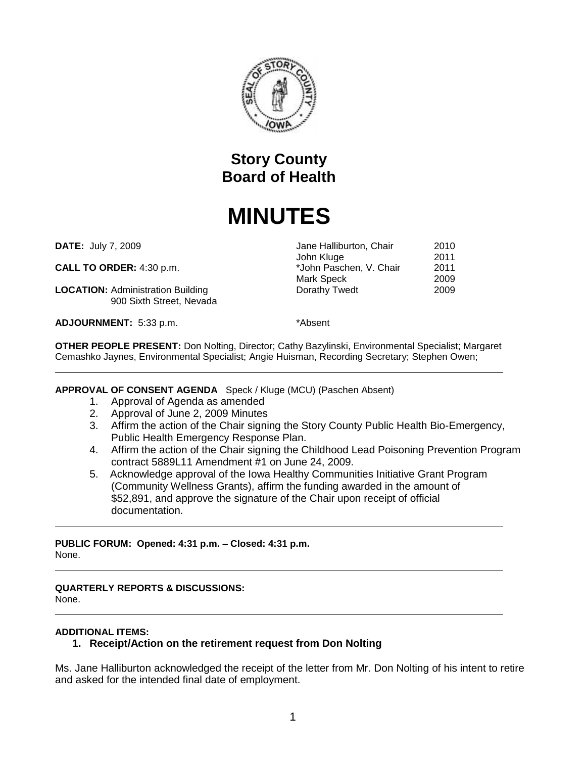

# **Story County Board of Health**

# **MINUTES**

**DATE: July 7, 2009** 

**CALL TO ORDER:** 4:30 p.m.  $*$ <sub>N</sub>

**LOCATION:** Administration Building Dorathy Tuesdale 900 Sixth Street, Nevada

**ADJOURNMENT:** 5:33 p.m. \*Absent

| Jane Halliburton, Chair | 2010 |
|-------------------------|------|
| John Kluge              | 2011 |
| *John Paschen, V. Chair | 2011 |
| Mark Speck              | 2009 |
| Dorathy Twedt           | 2009 |

**OTHER PEOPLE PRESENT:** Don Nolting, Director; Cathy Bazylinski, Environmental Specialist; Margaret Cemashko Jaynes, Environmental Specialist; Angie Huisman, Recording Secretary; Stephen Owen;

#### **APPROVAL OF CONSENT AGENDA** Speck / Kluge (MCU) (Paschen Absent)

- 1. Approval of Agenda as amended
- 2. Approval of June 2, 2009 Minutes
- 3. Affirm the action of the Chair signing the Story County Public Health Bio-Emergency, Public Health Emergency Response Plan.
- 4. Affirm the action of the Chair signing the Childhood Lead Poisoning Prevention Program contract 5889L11 Amendment #1 on June 24, 2009.
- 5. Acknowledge approval of the Iowa Healthy Communities Initiative Grant Program (Community Wellness Grants), affirm the funding awarded in the amount of \$52,891, and approve the signature of the Chair upon receipt of official documentation.

**PUBLIC FORUM: Opened: 4:31 p.m. – Closed: 4:31 p.m.** None.

# **QUARTERLY REPORTS & DISCUSSIONS:**

None.

#### **ADDITIONAL ITEMS:**

# **1. Receipt/Action on the retirement request from Don Nolting**

Ms. Jane Halliburton acknowledged the receipt of the letter from Mr. Don Nolting of his intent to retire and asked for the intended final date of employment.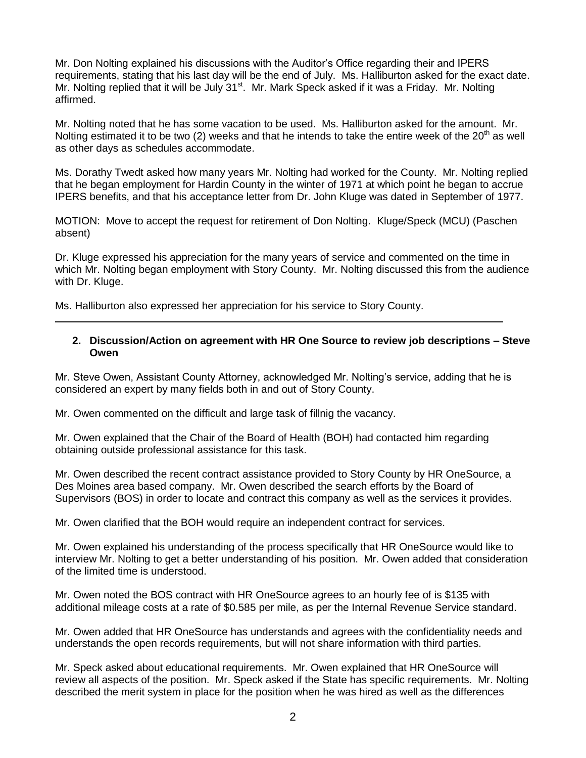Mr. Don Nolting explained his discussions with the Auditor's Office regarding their and IPERS requirements, stating that his last day will be the end of July. Ms. Halliburton asked for the exact date. Mr. Nolting replied that it will be July 31<sup>st</sup>. Mr. Mark Speck asked if it was a Friday. Mr. Nolting affirmed.

Mr. Nolting noted that he has some vacation to be used. Ms. Halliburton asked for the amount. Mr. Nolting estimated it to be two (2) weeks and that he intends to take the entire week of the  $20<sup>th</sup>$  as well as other days as schedules accommodate.

Ms. Dorathy Twedt asked how many years Mr. Nolting had worked for the County. Mr. Nolting replied that he began employment for Hardin County in the winter of 1971 at which point he began to accrue IPERS benefits, and that his acceptance letter from Dr. John Kluge was dated in September of 1977.

MOTION: Move to accept the request for retirement of Don Nolting. Kluge/Speck (MCU) (Paschen absent)

Dr. Kluge expressed his appreciation for the many years of service and commented on the time in which Mr. Nolting began employment with Story County. Mr. Nolting discussed this from the audience with Dr. Kluge.

Ms. Halliburton also expressed her appreciation for his service to Story County.

#### **2. Discussion/Action on agreement with HR One Source to review job descriptions – Steve Owen**

Mr. Steve Owen, Assistant County Attorney, acknowledged Mr. Nolting's service, adding that he is considered an expert by many fields both in and out of Story County.

Mr. Owen commented on the difficult and large task of fillnig the vacancy.

Mr. Owen explained that the Chair of the Board of Health (BOH) had contacted him regarding obtaining outside professional assistance for this task.

Mr. Owen described the recent contract assistance provided to Story County by HR OneSource, a Des Moines area based company. Mr. Owen described the search efforts by the Board of Supervisors (BOS) in order to locate and contract this company as well as the services it provides.

Mr. Owen clarified that the BOH would require an independent contract for services.

Mr. Owen explained his understanding of the process specifically that HR OneSource would like to interview Mr. Nolting to get a better understanding of his position. Mr. Owen added that consideration of the limited time is understood.

Mr. Owen noted the BOS contract with HR OneSource agrees to an hourly fee of is \$135 with additional mileage costs at a rate of \$0.585 per mile, as per the Internal Revenue Service standard.

Mr. Owen added that HR OneSource has understands and agrees with the confidentiality needs and understands the open records requirements, but will not share information with third parties.

Mr. Speck asked about educational requirements. Mr. Owen explained that HR OneSource will review all aspects of the position. Mr. Speck asked if the State has specific requirements. Mr. Nolting described the merit system in place for the position when he was hired as well as the differences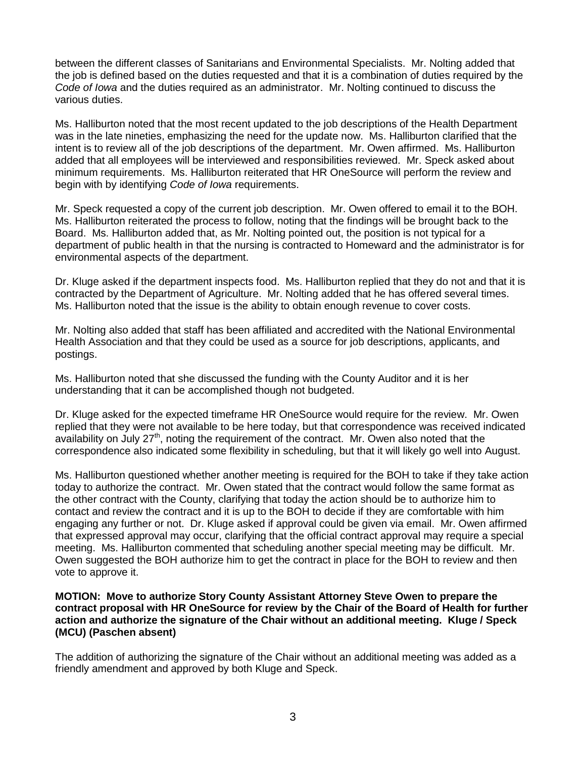between the different classes of Sanitarians and Environmental Specialists. Mr. Nolting added that the job is defined based on the duties requested and that it is a combination of duties required by the *Code of Iowa* and the duties required as an administrator. Mr. Nolting continued to discuss the various duties.

Ms. Halliburton noted that the most recent updated to the job descriptions of the Health Department was in the late nineties, emphasizing the need for the update now. Ms. Halliburton clarified that the intent is to review all of the job descriptions of the department. Mr. Owen affirmed. Ms. Halliburton added that all employees will be interviewed and responsibilities reviewed. Mr. Speck asked about minimum requirements. Ms. Halliburton reiterated that HR OneSource will perform the review and begin with by identifying *Code of Iowa* requirements.

Mr. Speck requested a copy of the current job description. Mr. Owen offered to email it to the BOH. Ms. Halliburton reiterated the process to follow, noting that the findings will be brought back to the Board. Ms. Halliburton added that, as Mr. Nolting pointed out, the position is not typical for a department of public health in that the nursing is contracted to Homeward and the administrator is for environmental aspects of the department.

Dr. Kluge asked if the department inspects food. Ms. Halliburton replied that they do not and that it is contracted by the Department of Agriculture. Mr. Nolting added that he has offered several times. Ms. Halliburton noted that the issue is the ability to obtain enough revenue to cover costs.

Mr. Nolting also added that staff has been affiliated and accredited with the National Environmental Health Association and that they could be used as a source for job descriptions, applicants, and postings.

Ms. Halliburton noted that she discussed the funding with the County Auditor and it is her understanding that it can be accomplished though not budgeted.

Dr. Kluge asked for the expected timeframe HR OneSource would require for the review. Mr. Owen replied that they were not available to be here today, but that correspondence was received indicated availability on July  $27<sup>th</sup>$ , noting the requirement of the contract. Mr. Owen also noted that the correspondence also indicated some flexibility in scheduling, but that it will likely go well into August.

Ms. Halliburton questioned whether another meeting is required for the BOH to take if they take action today to authorize the contract. Mr. Owen stated that the contract would follow the same format as the other contract with the County, clarifying that today the action should be to authorize him to contact and review the contract and it is up to the BOH to decide if they are comfortable with him engaging any further or not. Dr. Kluge asked if approval could be given via email. Mr. Owen affirmed that expressed approval may occur, clarifying that the official contract approval may require a special meeting. Ms. Halliburton commented that scheduling another special meeting may be difficult. Mr. Owen suggested the BOH authorize him to get the contract in place for the BOH to review and then vote to approve it.

#### **MOTION: Move to authorize Story County Assistant Attorney Steve Owen to prepare the contract proposal with HR OneSource for review by the Chair of the Board of Health for further action and authorize the signature of the Chair without an additional meeting. Kluge / Speck (MCU) (Paschen absent)**

The addition of authorizing the signature of the Chair without an additional meeting was added as a friendly amendment and approved by both Kluge and Speck.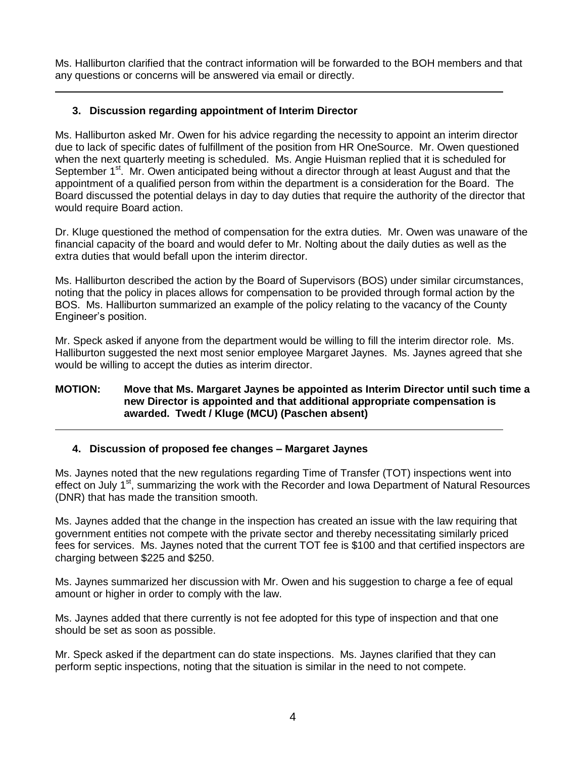Ms. Halliburton clarified that the contract information will be forwarded to the BOH members and that any questions or concerns will be answered via email or directly.

# **3. Discussion regarding appointment of Interim Director**

Ms. Halliburton asked Mr. Owen for his advice regarding the necessity to appoint an interim director due to lack of specific dates of fulfillment of the position from HR OneSource. Mr. Owen questioned when the next quarterly meeting is scheduled. Ms. Angie Huisman replied that it is scheduled for September 1<sup>st</sup>. Mr. Owen anticipated being without a director through at least August and that the appointment of a qualified person from within the department is a consideration for the Board. The Board discussed the potential delays in day to day duties that require the authority of the director that would require Board action.

Dr. Kluge questioned the method of compensation for the extra duties. Mr. Owen was unaware of the financial capacity of the board and would defer to Mr. Nolting about the daily duties as well as the extra duties that would befall upon the interim director.

Ms. Halliburton described the action by the Board of Supervisors (BOS) under similar circumstances, noting that the policy in places allows for compensation to be provided through formal action by the BOS. Ms. Halliburton summarized an example of the policy relating to the vacancy of the County Engineer's position.

Mr. Speck asked if anyone from the department would be willing to fill the interim director role. Ms. Halliburton suggested the next most senior employee Margaret Jaynes. Ms. Jaynes agreed that she would be willing to accept the duties as interim director.

# **MOTION: Move that Ms. Margaret Jaynes be appointed as Interim Director until such time a new Director is appointed and that additional appropriate compensation is awarded. Twedt / Kluge (MCU) (Paschen absent)**

# **4. Discussion of proposed fee changes – Margaret Jaynes**

Ms. Jaynes noted that the new regulations regarding Time of Transfer (TOT) inspections went into effect on July 1<sup>st</sup>, summarizing the work with the Recorder and Iowa Department of Natural Resources (DNR) that has made the transition smooth.

Ms. Jaynes added that the change in the inspection has created an issue with the law requiring that government entities not compete with the private sector and thereby necessitating similarly priced fees for services. Ms. Jaynes noted that the current TOT fee is \$100 and that certified inspectors are charging between \$225 and \$250.

Ms. Jaynes summarized her discussion with Mr. Owen and his suggestion to charge a fee of equal amount or higher in order to comply with the law.

Ms. Jaynes added that there currently is not fee adopted for this type of inspection and that one should be set as soon as possible.

Mr. Speck asked if the department can do state inspections. Ms. Jaynes clarified that they can perform septic inspections, noting that the situation is similar in the need to not compete.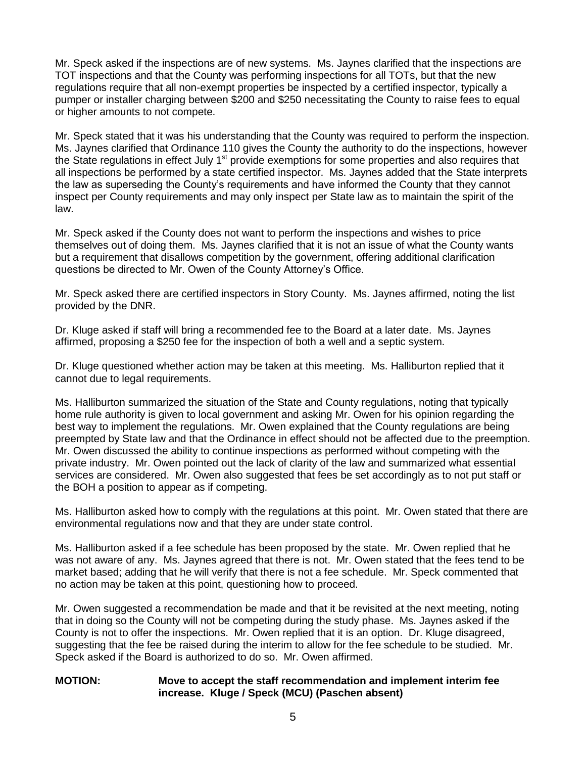Mr. Speck asked if the inspections are of new systems. Ms. Jaynes clarified that the inspections are TOT inspections and that the County was performing inspections for all TOTs, but that the new regulations require that all non-exempt properties be inspected by a certified inspector, typically a pumper or installer charging between \$200 and \$250 necessitating the County to raise fees to equal or higher amounts to not compete.

Mr. Speck stated that it was his understanding that the County was required to perform the inspection. Ms. Jaynes clarified that Ordinance 110 gives the County the authority to do the inspections, however the State regulations in effect July  $1<sup>st</sup>$  provide exemptions for some properties and also requires that all inspections be performed by a state certified inspector. Ms. Jaynes added that the State interprets the law as superseding the County's requirements and have informed the County that they cannot inspect per County requirements and may only inspect per State law as to maintain the spirit of the law.

Mr. Speck asked if the County does not want to perform the inspections and wishes to price themselves out of doing them. Ms. Jaynes clarified that it is not an issue of what the County wants but a requirement that disallows competition by the government, offering additional clarification questions be directed to Mr. Owen of the County Attorney's Office.

Mr. Speck asked there are certified inspectors in Story County. Ms. Jaynes affirmed, noting the list provided by the DNR.

Dr. Kluge asked if staff will bring a recommended fee to the Board at a later date. Ms. Jaynes affirmed, proposing a \$250 fee for the inspection of both a well and a septic system.

Dr. Kluge questioned whether action may be taken at this meeting. Ms. Halliburton replied that it cannot due to legal requirements.

Ms. Halliburton summarized the situation of the State and County regulations, noting that typically home rule authority is given to local government and asking Mr. Owen for his opinion regarding the best way to implement the regulations. Mr. Owen explained that the County regulations are being preempted by State law and that the Ordinance in effect should not be affected due to the preemption. Mr. Owen discussed the ability to continue inspections as performed without competing with the private industry. Mr. Owen pointed out the lack of clarity of the law and summarized what essential services are considered. Mr. Owen also suggested that fees be set accordingly as to not put staff or the BOH a position to appear as if competing.

Ms. Halliburton asked how to comply with the regulations at this point. Mr. Owen stated that there are environmental regulations now and that they are under state control.

Ms. Halliburton asked if a fee schedule has been proposed by the state. Mr. Owen replied that he was not aware of any. Ms. Jaynes agreed that there is not. Mr. Owen stated that the fees tend to be market based; adding that he will verify that there is not a fee schedule. Mr. Speck commented that no action may be taken at this point, questioning how to proceed.

Mr. Owen suggested a recommendation be made and that it be revisited at the next meeting, noting that in doing so the County will not be competing during the study phase. Ms. Jaynes asked if the County is not to offer the inspections. Mr. Owen replied that it is an option. Dr. Kluge disagreed, suggesting that the fee be raised during the interim to allow for the fee schedule to be studied. Mr. Speck asked if the Board is authorized to do so. Mr. Owen affirmed.

# **MOTION: Move to accept the staff recommendation and implement interim fee increase. Kluge / Speck (MCU) (Paschen absent)**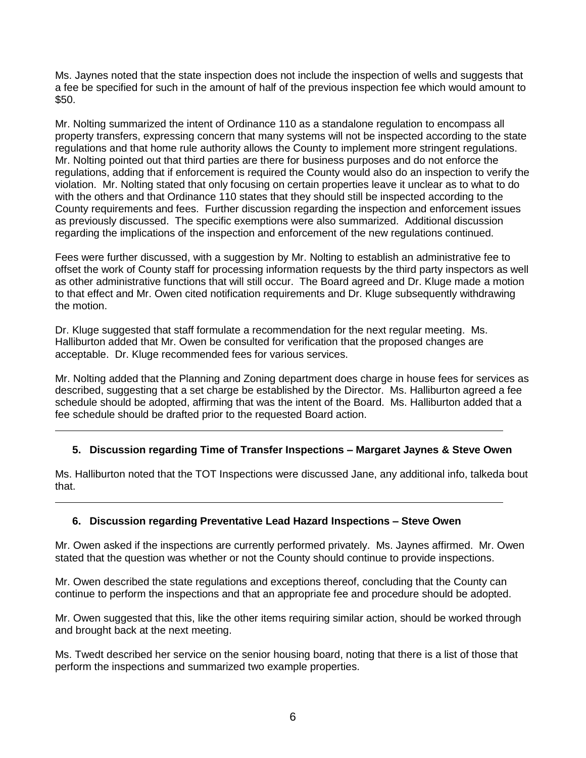Ms. Jaynes noted that the state inspection does not include the inspection of wells and suggests that a fee be specified for such in the amount of half of the previous inspection fee which would amount to \$50.

Mr. Nolting summarized the intent of Ordinance 110 as a standalone regulation to encompass all property transfers, expressing concern that many systems will not be inspected according to the state regulations and that home rule authority allows the County to implement more stringent regulations. Mr. Nolting pointed out that third parties are there for business purposes and do not enforce the regulations, adding that if enforcement is required the County would also do an inspection to verify the violation. Mr. Nolting stated that only focusing on certain properties leave it unclear as to what to do with the others and that Ordinance 110 states that they should still be inspected according to the County requirements and fees. Further discussion regarding the inspection and enforcement issues as previously discussed. The specific exemptions were also summarized. Additional discussion regarding the implications of the inspection and enforcement of the new regulations continued.

Fees were further discussed, with a suggestion by Mr. Nolting to establish an administrative fee to offset the work of County staff for processing information requests by the third party inspectors as well as other administrative functions that will still occur. The Board agreed and Dr. Kluge made a motion to that effect and Mr. Owen cited notification requirements and Dr. Kluge subsequently withdrawing the motion.

Dr. Kluge suggested that staff formulate a recommendation for the next regular meeting. Ms. Halliburton added that Mr. Owen be consulted for verification that the proposed changes are acceptable. Dr. Kluge recommended fees for various services.

Mr. Nolting added that the Planning and Zoning department does charge in house fees for services as described, suggesting that a set charge be established by the Director. Ms. Halliburton agreed a fee schedule should be adopted, affirming that was the intent of the Board. Ms. Halliburton added that a fee schedule should be drafted prior to the requested Board action.

# **5. Discussion regarding Time of Transfer Inspections – Margaret Jaynes & Steve Owen**

Ms. Halliburton noted that the TOT Inspections were discussed Jane, any additional info, talkeda bout that.

# **6. Discussion regarding Preventative Lead Hazard Inspections – Steve Owen**

Mr. Owen asked if the inspections are currently performed privately. Ms. Jaynes affirmed. Mr. Owen stated that the question was whether or not the County should continue to provide inspections.

Mr. Owen described the state regulations and exceptions thereof, concluding that the County can continue to perform the inspections and that an appropriate fee and procedure should be adopted.

Mr. Owen suggested that this, like the other items requiring similar action, should be worked through and brought back at the next meeting.

Ms. Twedt described her service on the senior housing board, noting that there is a list of those that perform the inspections and summarized two example properties.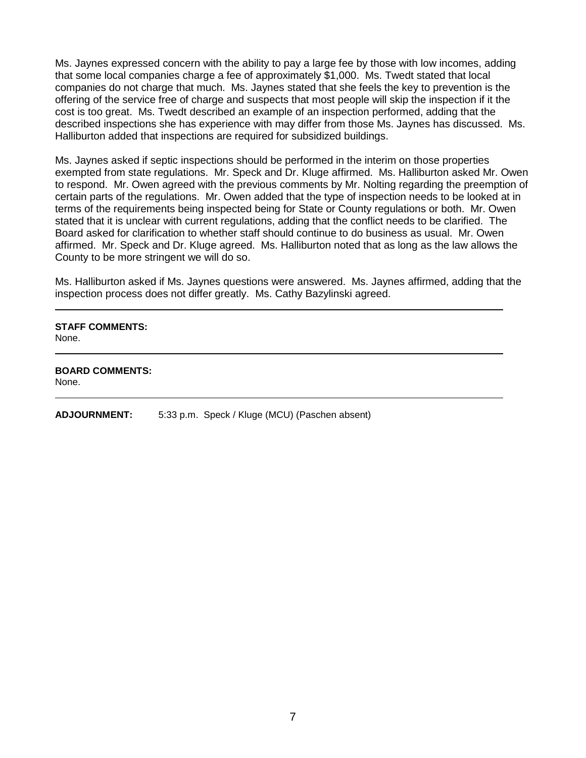Ms. Jaynes expressed concern with the ability to pay a large fee by those with low incomes, adding that some local companies charge a fee of approximately \$1,000. Ms. Twedt stated that local companies do not charge that much. Ms. Jaynes stated that she feels the key to prevention is the offering of the service free of charge and suspects that most people will skip the inspection if it the cost is too great. Ms. Twedt described an example of an inspection performed, adding that the described inspections she has experience with may differ from those Ms. Jaynes has discussed. Ms. Halliburton added that inspections are required for subsidized buildings.

Ms. Jaynes asked if septic inspections should be performed in the interim on those properties exempted from state regulations. Mr. Speck and Dr. Kluge affirmed. Ms. Halliburton asked Mr. Owen to respond. Mr. Owen agreed with the previous comments by Mr. Nolting regarding the preemption of certain parts of the regulations. Mr. Owen added that the type of inspection needs to be looked at in terms of the requirements being inspected being for State or County regulations or both. Mr. Owen stated that it is unclear with current regulations, adding that the conflict needs to be clarified. The Board asked for clarification to whether staff should continue to do business as usual. Mr. Owen affirmed. Mr. Speck and Dr. Kluge agreed. Ms. Halliburton noted that as long as the law allows the County to be more stringent we will do so.

Ms. Halliburton asked if Ms. Jaynes questions were answered. Ms. Jaynes affirmed, adding that the inspection process does not differ greatly. Ms. Cathy Bazylinski agreed.

# **STAFF COMMENTS:**

None.

**BOARD COMMENTS:** None.

**ADJOURNMENT:** 5:33 p.m. Speck / Kluge (MCU) (Paschen absent)